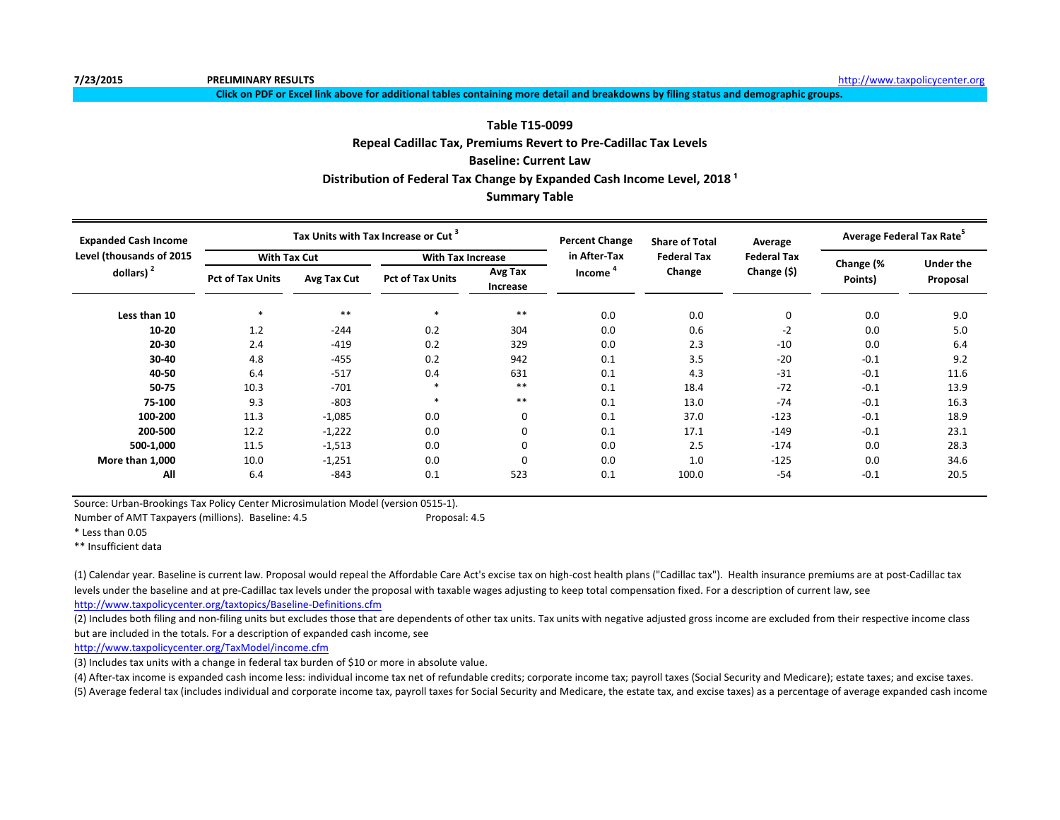**7/23/2015 PRELIMINARY RESULTS** [http://www.t](http://www.taxpolicycenter.org/)axpolicycenter.org

**Click on PDF or Excel link above for additional tables containing more detail and breakdowns by filing status and demographic groups.**

#### **Table T15-0099**

**Repeal Cadillac Tax, Premiums Revert to Pre-Cadillac Tax Levels**

#### **Baseline: Current Law**

**Distribution of Federal Tax Change by Expanded Cash Income Level, 2018<sup>1</sup>** 

#### **Summary Table**

| <b>Expanded Cash Income</b> |                         |             | Tax Units with Tax Increase or Cut <sup>3</sup> |                     | <b>Percent Change</b> | <b>Share of Total</b> | Average            | Average Federal Tax Rate <sup>5</sup> |                  |  |
|-----------------------------|-------------------------|-------------|-------------------------------------------------|---------------------|-----------------------|-----------------------|--------------------|---------------------------------------|------------------|--|
| Level (thousands of 2015    | <b>With Tax Cut</b>     |             | <b>With Tax Increase</b>                        |                     | in After-Tax          | <b>Federal Tax</b>    | <b>Federal Tax</b> | Change (%                             | <b>Under the</b> |  |
| dollars) $2$                | <b>Pct of Tax Units</b> | Avg Tax Cut | <b>Pct of Tax Units</b>                         | Avg Tax<br>Increase | Income                | Change                | Change (\$)        | Points)                               | Proposal         |  |
| Less than 10                |                         | $***$       |                                                 | $***$               | 0.0                   | 0.0                   | 0                  | 0.0                                   | 9.0              |  |
| $10 - 20$                   | 1.2                     | $-244$      | 0.2                                             | 304                 | 0.0                   | 0.6                   | $-2$               | 0.0                                   | 5.0              |  |
| $20 - 30$                   | 2.4                     | $-419$      | 0.2                                             | 329                 | 0.0                   | 2.3                   | $-10$              | 0.0                                   | 6.4              |  |
| 30-40                       | 4.8                     | $-455$      | 0.2                                             | 942                 | 0.1                   | 3.5                   | $-20$              | $-0.1$                                | 9.2              |  |
| 40-50                       | 6.4                     | $-517$      | 0.4                                             | 631                 | 0.1                   | 4.3                   | $-31$              | $-0.1$                                | 11.6             |  |
| 50-75                       | 10.3                    | $-701$      |                                                 | $***$               | 0.1                   | 18.4                  | $-72$              | $-0.1$                                | 13.9             |  |
| 75-100                      | 9.3                     | $-803$      |                                                 | $***$               | 0.1                   | 13.0                  | $-74$              | $-0.1$                                | 16.3             |  |
| 100-200                     | 11.3                    | $-1,085$    | 0.0                                             | 0                   | 0.1                   | 37.0                  | $-123$             | $-0.1$                                | 18.9             |  |
| 200-500                     | 12.2                    | $-1,222$    | 0.0                                             | 0                   | 0.1                   | 17.1                  | $-149$             | $-0.1$                                | 23.1             |  |
| 500-1,000                   | 11.5                    | $-1,513$    | 0.0                                             | 0                   | 0.0                   | 2.5                   | $-174$             | 0.0                                   | 28.3             |  |
| More than 1,000             | 10.0                    | $-1,251$    | 0.0                                             | 0                   | 0.0                   | 1.0                   | $-125$             | 0.0                                   | 34.6             |  |
| All                         | 6.4                     | $-843$      | 0.1                                             | 523                 | 0.1                   | 100.0                 | $-54$              | $-0.1$                                | 20.5             |  |

Source: Urban-Brookings Tax Policy Center Microsimulation Model (version 0515-1).

Number of AMT Taxpayers (millions). Baseline: 4.5 Proposal: 4.5

\* Less than 0.05

\*\* Insufficient data

(1) Calendar year. Baseline is current law. Proposal would repeal the Affordable Care Act's excise tax on high-cost health plans ("Cadillac tax"). Health insurance premiums are at post-Cadillac tax levels under the baseline and at pre-Cadillac tax levels under the proposal with taxable wages adjusting to keep total compensation fixed. For a description of current law, see

<http://www.taxpolicycenter.org/taxtopics/Baseline-Definitions.cfm>

(2) Includes both filing and non-filing units but excludes those that are dependents of other tax units. Tax units with negative adjusted gross income are excluded from their respective income class but are included in the totals. For a description of expanded cash income, see

<http://www.taxpolicycenter.org/TaxModel/income.cfm>

(3) Includes tax units with a change in federal tax burden of \$10 or more in absolute value.

(4) After-tax income is expanded cash income less: individual income tax net of refundable credits; corporate income tax; payroll taxes (Social Security and Medicare); estate taxes; and excise taxes. (5) Average federal tax (includes individual and corporate income tax, payroll taxes for Social Security and Medicare, the estate tax, and excise taxes) as a percentage of average expanded cash income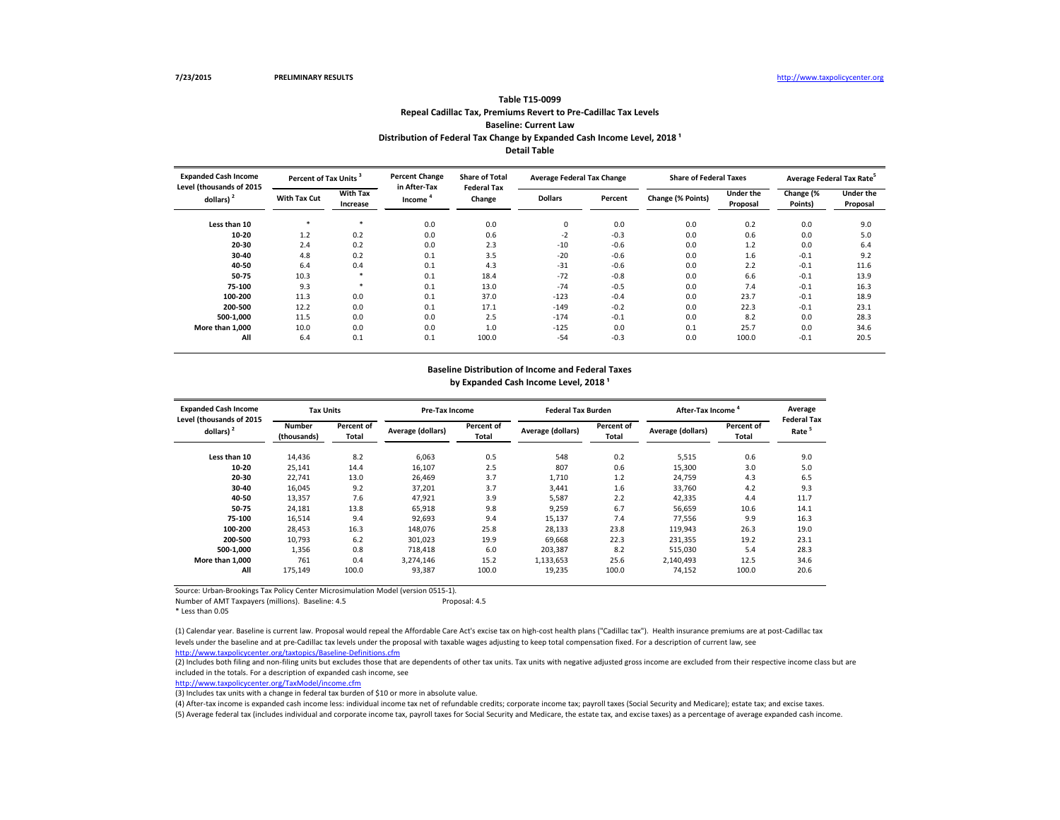**Less than 10** \* \* 0.0 0.0 0 0.0 0.0 0.2 0.0 9.0 **10-20** 1.2 0.2 0.0 0.6 -2 -0.3 0.0 0.6 5.0 **20-30** 2.4 0.2 0.0 2.3 -10 -0.6 0.0 1.2 0.0 6.4 **30-40** 4.8 0.2 0.1 3.5 -20 -0.6 0.0 1.6 -0.1 9.2 **40-50** 6.4 0.4 0.1 4.3 -31 -0.6 0.0 2.2 -0.1 11.6 **50-75** 10.3 \* 0.1 18.4 -72 -0.8 0.0 6.6 -0.1 13.9 **75-100** 9.3 \* 0.1 13.0 -74 -0.5 0.0 7.4 -0.1 16.3 **100-200** 11.3 0.0 0.1 37.0 -123 -0.4 0.0 23.7 -0.1 18.9 **200-500** 12.2 0.0 0.1 17.1 -149 -0.2 0.0 22.3 -0.1 23.1 **500-1,000** 11.5 0.0 0.0 0.0 2.5 -174 -0.1 0.0 8.2 0.0 28.3 **More than 1,000** 10.0 0.0 0.0 0.0 1.0 -125 0.0 0.1 25.7 0.0 34.6 **All** 6.4 0.1 0.1 100.0 -54 -0.3 0.0 100.0 -0.1 20.5 **With Tax Cut With Tax Increase Dollars Percent Change (% Points) Under the Change (% Points) Pr Expanded Cash Income Level (thousands of 2015 dollars) <sup>2</sup> Percent of Tax Units <sup>3</sup> Percent Change in After-Tax Income <sup>4</sup> Share of Total Federal Tax Change Average Federal Tax Change Share of Federal Tax** 

(2) Includes both filing and non-filing units but excludes those that are dependents of other tax units. Tax units with negative adjusted gross income are excluded from their respective income class but are included in the totals. For a description of expanded cash income, see

Source: Urban-Brookings Tax Policy Center Microsimulation Model (version 0515-1).

Number of AMT Taxpayers (millions). Baseline: 4.5 Proposal: 4.5

\* Less than 0.05

#### **Repeal Cadillac Tax, Premiums Revert to Pre-Cadillac Tax Levels Baseline: Current Law Table T15-0099 Distribution of Federal Tax Change by Expanded Cash Income Level, 2018 ¹ Detail Table**

<http://www.taxpolicycenter.org/TaxModel/income.cfm>

| <b>Expanded Cash Income</b><br>Level (thousands of 2015 | <b>Tax Units</b>             |                                   | <b>Pre-Tax Income</b>    |                     | <b>Federal Tax Burden</b> |                     | After-Tax Income  |                            | Average<br><b>Federal Tax</b> |
|---------------------------------------------------------|------------------------------|-----------------------------------|--------------------------|---------------------|---------------------------|---------------------|-------------------|----------------------------|-------------------------------|
| dollars) $2$                                            | <b>Number</b><br>(thousands) | <b>Percent of</b><br><b>Total</b> | <b>Average (dollars)</b> | Percent of<br>Total | Average (dollars)         | Percent of<br>Total | Average (dollars) | Percent of<br><b>Total</b> | Rate                          |
| Less than 10                                            | 14,436                       | 8.2                               | 6,063                    | 0.5                 | 548                       | 0.2                 | 5,515             | 0.6                        | 9.0                           |
| $10 - 20$                                               | 25,141                       | 14.4                              | 16,107                   | 2.5                 | 807                       | 0.6                 | 15,300            | 3.0                        | 5.0                           |
| $20 - 30$                                               | 22,741                       | 13.0                              | 26,469                   | 3.7                 | 1,710                     | 1.2                 | 24,759            | 4.3                        | 6.5                           |
| 30-40                                                   | 16,045                       | 9.2                               | 37,201                   | 3.7                 | 3,441                     | 1.6                 | 33,760            | 4.2                        | 9.3                           |
| 40-50                                                   | 13,357                       | 7.6                               | 47,921                   | 3.9                 | 5,587                     | 2.2                 | 42,335            | 4.4                        | 11.7                          |
| 50-75                                                   | 24,181                       | 13.8                              | 65,918                   | 9.8                 | 9,259                     | 6.7                 | 56,659            | 10.6                       | 14.1                          |
| 75-100                                                  | 16,514                       | 9.4                               | 92,693                   | 9.4                 | 15,137                    | 7.4                 | 77,556            | 9.9                        | 16.3                          |
| 100-200                                                 | 28,453                       | 16.3                              | 148,076                  | 25.8                | 28,133                    | 23.8                | 119,943           | 26.3                       | 19.0                          |
| 200-500                                                 | 10,793                       | 6.2                               | 301,023                  | 19.9                | 69,668                    | 22.3                | 231,355           | 19.2                       | 23.1                          |
| 500-1,000                                               | 1,356                        | 0.8                               | 718,418                  | 6.0                 | 203,387                   | 8.2                 | 515,030           | 5.4                        | 28.3                          |
| More than 1,000                                         | 761                          | 0.4                               | 3,274,146                | 15.2                | 1,133,653                 | 25.6                | 2,140,493         | 12.5                       | 34.6                          |
| All                                                     | 175,149                      | 100.0                             | 93,387                   | 100.0               | 19,235                    | 100.0               | 74,152            | 100.0                      | 20.6                          |

(3) Includes tax units with a change in federal tax burden of \$10 or more in absolute value.

<http://www.taxpolicycenter.org/taxtopics/Baseline-Definitions.cfm> (1) Calendar year. Baseline is current law. Proposal would repeal the Affordable Care Act's excise tax on high-cost health plans ("Cadillac tax"). Health insurance premiums are at post-Cadillac tax levels under the baseline and at pre-Cadillac tax levels under the proposal with taxable wages adjusting to keep total compensation fixed. For a description of current law, see

(4) After-tax income is expanded cash income less: individual income tax net of refundable credits; corporate income tax; payroll taxes (Social Security and Medicare); estate tax; and excise taxes. (5) Average federal tax (includes individual and corporate income tax, payroll taxes for Social Security and Medicare, the estate tax, and excise taxes) as a percentage of average expanded cash income.

| xes      |           | Average Federal Tax Rate <sup>5</sup> |
|----------|-----------|---------------------------------------|
| ıder the | Change (% | <b>Under the</b>                      |
| oposal   | Points)   | Proposal                              |
|          |           |                                       |
| 0.2      | 0.0       | 9.0                                   |
| 0.6      | 0.0       | 5.0                                   |
| 1.2      | 0.0       | 6.4                                   |
| 1.6      | $-0.1$    | 9.2                                   |
| 2.2      | $-0.1$    | 11.6                                  |
| 6.6      | $-0.1$    | 13.9                                  |
| 7.4      | $-0.1$    | 16.3                                  |
| 23.7     | $-0.1$    | 18.9                                  |
| 22.3     | $-0.1$    | 23.1                                  |
| 8.2      | 0.0       | 28.3                                  |
| 25.7     | 0.0       | 34.6                                  |
| 100.0    | $-0.1$    | 20.5                                  |
|          |           |                                       |

# **Baseline Distribution of Income and Federal Taxes**

by Expanded Cash Income Level, 2018<sup>1</sup>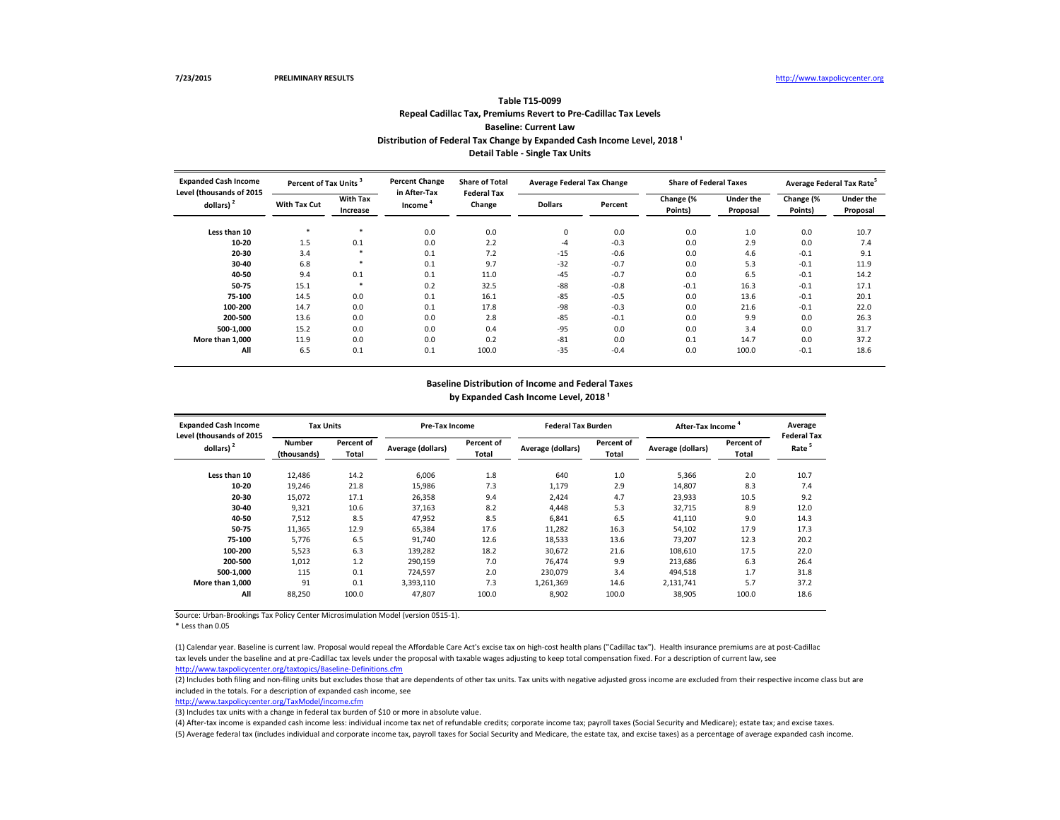(2) Includes both filing and non-filing units but excludes those that are dependents of other tax units. Tax units with negative adjusted gross income are excluded from their respective income class but are included in the totals. For a description of expanded cash income, see

Source: Urban-Brookings Tax Policy Center Microsimulation Model (version 0515-1).

#### **Baseline Distribution of Income and Federal Taxes** by Expanded Cash Income Level, 2018<sup>1</sup>

\* Less than 0.05

## **Repeal Cadillac Tax, Premiums Revert to Pre-Cadillac Tax Levels Baseline: Current Law Table T15-0099 Distribution of Federal Tax Change by Expanded Cash Income Level, 2018<sup>1</sup> Detail Table - Single Tax Units**

<http://www.taxpolicycenter.org/TaxModel/income.cfm>

(3) Includes tax units with a change in federal tax burden of \$10 or more in absolute value.

| <b>Expanded Cash Income</b><br>Level (thousands of 2015 | <b>Tax Units</b>             |                            | <b>Pre-Tax Income</b>    |                                   | <b>Federal Tax Burden</b> |                            | After-Tax Income         |                            | Average<br><b>Federal Tax</b> |
|---------------------------------------------------------|------------------------------|----------------------------|--------------------------|-----------------------------------|---------------------------|----------------------------|--------------------------|----------------------------|-------------------------------|
| dollars) $2$                                            | <b>Number</b><br>(thousands) | <b>Percent of</b><br>Total | <b>Average (dollars)</b> | <b>Percent of</b><br><b>Total</b> | Average (dollars)         | <b>Percent of</b><br>Total | <b>Average (dollars)</b> | Percent of<br><b>Total</b> | Rate                          |
| Less than 10                                            | 12,486                       | 14.2                       | 6,006                    | 1.8                               | 640                       | 1.0                        | 5,366                    | 2.0                        | 10.7                          |
| $10 - 20$                                               | 19,246                       | 21.8                       | 15,986                   | 7.3                               | 1,179                     | 2.9                        | 14,807                   | 8.3                        | 7.4                           |
| $20 - 30$                                               | 15,072                       | 17.1                       | 26,358                   | 9.4                               | 2,424                     | 4.7                        | 23,933                   | 10.5                       | 9.2                           |
| $30 - 40$                                               | 9,321                        | 10.6                       | 37,163                   | 8.2                               | 4,448                     | 5.3                        | 32,715                   | 8.9                        | 12.0                          |
| 40-50                                                   | 7,512                        | 8.5                        | 47,952                   | 8.5                               | 6,841                     | 6.5                        | 41,110                   | 9.0                        | 14.3                          |
| 50-75                                                   | 11,365                       | 12.9                       | 65,384                   | 17.6                              | 11,282                    | 16.3                       | 54,102                   | 17.9                       | 17.3                          |
| 75-100                                                  | 5,776                        | 6.5                        | 91,740                   | 12.6                              | 18,533                    | 13.6                       | 73,207                   | 12.3                       | 20.2                          |
| 100-200                                                 | 5,523                        | 6.3                        | 139,282                  | 18.2                              | 30,672                    | 21.6                       | 108,610                  | 17.5                       | 22.0                          |
| 200-500                                                 | 1,012                        | 1.2                        | 290,159                  | 7.0                               | 76,474                    | 9.9                        | 213,686                  | 6.3                        | 26.4                          |
| 500-1,000                                               | 115                          | 0.1                        | 724,597                  | 2.0                               | 230,079                   | 3.4                        | 494,518                  | 1.7                        | 31.8                          |
| More than 1,000                                         | 91                           | 0.1                        | 3,393,110                | 7.3                               | 1,261,369                 | 14.6                       | 2,131,741                | 5.7                        | 37.2                          |
| All                                                     | 88,250                       | 100.0                      | 47,807                   | 100.0                             | 8,902                     | 100.0                      | 38,905                   | 100.0                      | 18.6                          |

| <b>Expanded Cash Income</b><br>Level (thousands of 2015 |                     | Percent of Tax Units <sup>3</sup> |                        | <b>Percent Change</b><br><b>Share of Total</b><br><b>Federal Tax</b> | <b>Average Federal Tax Change</b> |         | <b>Share of Federal Taxes</b> |                              | Average Federal Tax Rate <sup>5</sup> |                              |
|---------------------------------------------------------|---------------------|-----------------------------------|------------------------|----------------------------------------------------------------------|-----------------------------------|---------|-------------------------------|------------------------------|---------------------------------------|------------------------------|
| dollars) $2$                                            | <b>With Tax Cut</b> | <b>With Tax</b><br>Increase       | in After-Tax<br>Income | Change                                                               | <b>Dollars</b>                    | Percent | Change (%<br>Points)          | <b>Under the</b><br>Proposal | Change (%<br>Points)                  | <b>Under the</b><br>Proposal |
| Less than 10                                            |                     | ∗                                 | 0.0                    | 0.0                                                                  | $\mathbf 0$                       | 0.0     | 0.0                           | 1.0                          | 0.0                                   | 10.7                         |
| $10 - 20$                                               | 1.5                 | 0.1                               | 0.0                    | 2.2                                                                  | -4                                | $-0.3$  | 0.0                           | 2.9                          | 0.0                                   | 7.4                          |
| 20-30                                                   | 3.4                 | $\ast$                            | 0.1                    | 7.2                                                                  | $-15$                             | $-0.6$  | 0.0                           | 4.6                          | $-0.1$                                | 9.1                          |
| 30-40                                                   | 6.8                 | ∗                                 | 0.1                    | 9.7                                                                  | $-32$                             | $-0.7$  | 0.0                           | 5.3                          | $-0.1$                                | 11.9                         |
| 40-50                                                   | 9.4                 | 0.1                               | 0.1                    | 11.0                                                                 | $-45$                             | $-0.7$  | 0.0                           | 6.5                          | $-0.1$                                | 14.2                         |
| 50-75                                                   | 15.1                | ∗                                 | 0.2                    | 32.5                                                                 | $-88$                             | $-0.8$  | $-0.1$                        | 16.3                         | $-0.1$                                | 17.1                         |
| 75-100                                                  | 14.5                | 0.0                               | 0.1                    | 16.1                                                                 | $-85$                             | $-0.5$  | 0.0                           | 13.6                         | $-0.1$                                | 20.1                         |
| 100-200                                                 | 14.7                | 0.0                               | 0.1                    | 17.8                                                                 | -98                               | $-0.3$  | 0.0                           | 21.6                         | $-0.1$                                | 22.0                         |
| 200-500                                                 | 13.6                | 0.0                               | 0.0                    | 2.8                                                                  | $-85$                             | $-0.1$  | 0.0                           | 9.9                          | 0.0                                   | 26.3                         |
| 500-1,000                                               | 15.2                | 0.0                               | 0.0                    | 0.4                                                                  | $-95$                             | 0.0     | 0.0                           | 3.4                          | 0.0                                   | 31.7                         |
| More than 1,000                                         | 11.9                | 0.0                               | 0.0                    | 0.2                                                                  | $-81$                             | 0.0     | 0.1                           | 14.7                         | 0.0                                   | 37.2                         |
| All                                                     | 6.5                 | 0.1                               | 0.1                    | 100.0                                                                | $-35$                             | $-0.4$  | 0.0                           | 100.0                        | $-0.1$                                | 18.6                         |

<http://www.taxpolicycenter.org/taxtopics/Baseline-Definitions.cfm> (1) Calendar year. Baseline is current law. Proposal would repeal the Affordable Care Act's excise tax on high-cost health plans ("Cadillac tax"). Health insurance premiums are at post-Cadillac tax levels under the baseline and at pre-Cadillac tax levels under the proposal with taxable wages adjusting to keep total compensation fixed. For a description of current law, see

(4) After-tax income is expanded cash income less: individual income tax net of refundable credits; corporate income tax; payroll taxes (Social Security and Medicare); estate tax; and excise taxes. (5) Average federal tax (includes individual and corporate income tax, payroll taxes for Social Security and Medicare, the estate tax, and excise taxes) as a percentage of average expanded cash income.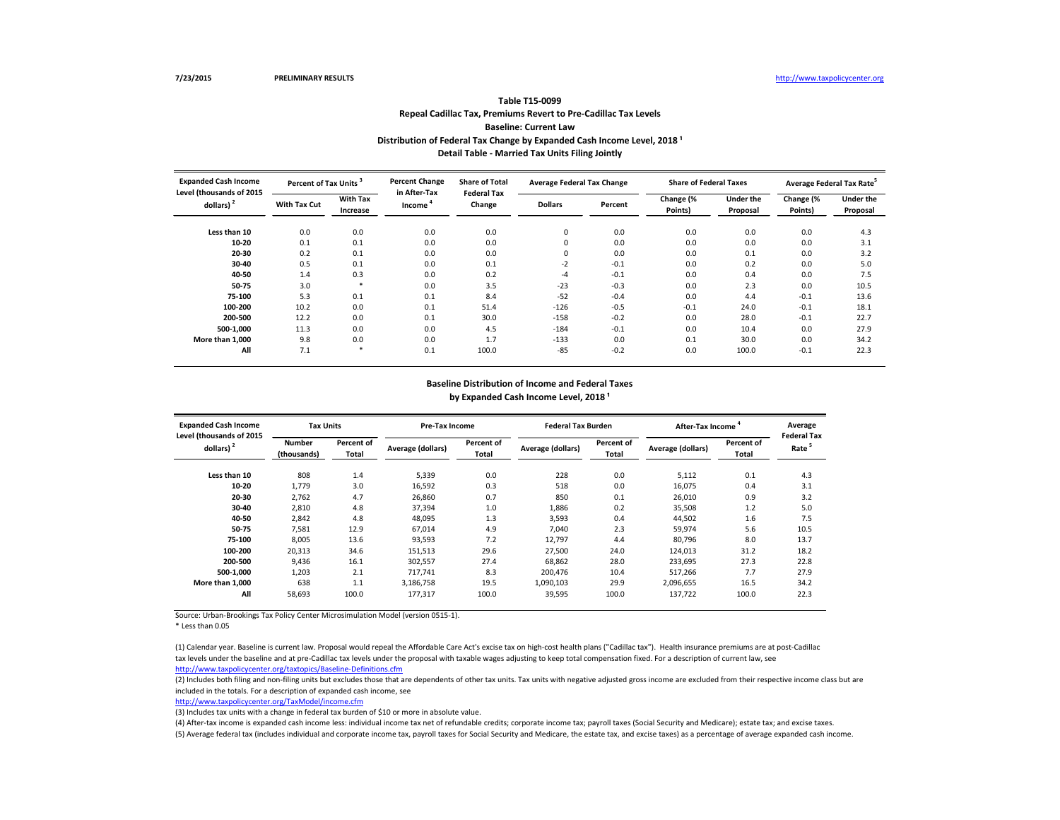(2) Includes both filing and non-filing units but excludes those that are dependents of other tax units. Tax units with negative adjusted gross income are excluded from their respective income class but are included in the totals. For a description of expanded cash income, see

Source: Urban-Brookings Tax Policy Center Microsimulation Model (version 0515-1).

#### **Baseline Distribution of Income and Federal Taxes** by Expanded Cash Income Level, 2018<sup>1</sup>

\* Less than 0.05

## **Repeal Cadillac Tax, Premiums Revert to Pre-Cadillac Tax Levels Baseline: Current Law Table T15-0099 Distribution of Federal Tax Change by Expanded Cash Income Level, 2018<sup>1</sup> Detail Table - Married Tax Units Filing Jointly**

<http://www.taxpolicycenter.org/TaxModel/income.cfm>

| <b>Expanded Cash Income</b><br>Level (thousands of 2015 | Percent of Tax Units |                             | <b>Percent Change</b><br>in After-Tax | <b>Share of Total</b><br><b>Federal Tax</b> | <b>Average Federal Tax Change</b> |         | <b>Share of Federal Taxes</b> |                              | Average Federal Tax Rate |                              |
|---------------------------------------------------------|----------------------|-----------------------------|---------------------------------------|---------------------------------------------|-----------------------------------|---------|-------------------------------|------------------------------|--------------------------|------------------------------|
| dollars) $2$                                            | <b>With Tax Cut</b>  | <b>With Tax</b><br>Increase | Income                                | Change                                      | <b>Dollars</b>                    | Percent | Change (%<br>Points)          | <b>Under the</b><br>Proposal | Change (%<br>Points)     | <b>Under the</b><br>Proposal |
| Less than 10                                            | 0.0                  | 0.0                         | 0.0                                   | 0.0                                         | 0                                 | 0.0     | 0.0                           | 0.0                          | 0.0                      | 4.3                          |
| $10 - 20$                                               | 0.1                  | 0.1                         | 0.0                                   | 0.0                                         |                                   | 0.0     | 0.0                           | 0.0                          | 0.0                      | 3.1                          |
| 20-30                                                   | 0.2                  | 0.1                         | 0.0                                   | 0.0                                         | 0                                 | 0.0     | 0.0                           | 0.1                          | 0.0                      | 3.2                          |
| 30-40                                                   | 0.5                  | 0.1                         | 0.0                                   | 0.1                                         | $-2$                              | $-0.1$  | 0.0                           | 0.2                          | 0.0                      | 5.0                          |
| 40-50                                                   | 1.4                  | 0.3                         | 0.0                                   | 0.2                                         | $-4$                              | $-0.1$  | 0.0                           | 0.4                          | 0.0                      | 7.5                          |
| 50-75                                                   | 3.0                  |                             | 0.0                                   | 3.5                                         | $-23$                             | $-0.3$  | 0.0                           | 2.3                          | 0.0                      | 10.5                         |
| 75-100                                                  | 5.3                  | 0.1                         | 0.1                                   | 8.4                                         | $-52$                             | $-0.4$  | 0.0                           | 4.4                          | $-0.1$                   | 13.6                         |
| 100-200                                                 | 10.2                 | 0.0                         | 0.1                                   | 51.4                                        | $-126$                            | $-0.5$  | $-0.1$                        | 24.0                         | $-0.1$                   | 18.1                         |
| 200-500                                                 | 12.2                 | 0.0                         | 0.1                                   | 30.0                                        | $-158$                            | $-0.2$  | 0.0                           | 28.0                         | $-0.1$                   | 22.7                         |
| 500-1,000                                               | 11.3                 | 0.0                         | 0.0                                   | 4.5                                         | $-184$                            | $-0.1$  | 0.0                           | 10.4                         | 0.0                      | 27.9                         |
| More than 1,000                                         | 9.8                  | 0.0                         | 0.0                                   | 1.7                                         | $-133$                            | 0.0     | 0.1                           | 30.0                         | 0.0                      | 34.2                         |
| All                                                     | 7.1                  |                             | 0.1                                   | 100.0                                       | $-85$                             | $-0.2$  | 0.0                           | 100.0                        | $-0.1$                   | 22.3                         |

(3) Includes tax units with a change in federal tax burden of \$10 or more in absolute value.

| <b>Expanded Cash Income</b><br>Level (thousands of 2015 | <b>Tax Units</b>             |                            | Pre-Tax Income    |                            | <b>Federal Tax Burden</b> |                            | After-Tax Income         |                            | Average<br><b>Federal Tax</b> |
|---------------------------------------------------------|------------------------------|----------------------------|-------------------|----------------------------|---------------------------|----------------------------|--------------------------|----------------------------|-------------------------------|
| dollars) $2$                                            | <b>Number</b><br>(thousands) | <b>Percent of</b><br>Total | Average (dollars) | Percent of<br><b>Total</b> | Average (dollars)         | Percent of<br><b>Total</b> | <b>Average (dollars)</b> | Percent of<br><b>Total</b> | Rate <sup>3</sup>             |
| Less than 10                                            | 808                          | 1.4                        | 5,339             | 0.0                        | 228                       | 0.0                        | 5,112                    | 0.1                        | 4.3                           |
| $10 - 20$                                               | 1,779                        | 3.0                        | 16,592            | 0.3                        | 518                       | 0.0                        | 16,075                   | 0.4                        | 3.1                           |
| $20 - 30$                                               | 2,762                        | 4.7                        | 26,860            | 0.7                        | 850                       | 0.1                        | 26,010                   | 0.9                        | 3.2                           |
| 30-40                                                   | 2,810                        | 4.8                        | 37,394            | 1.0                        | 1,886                     | 0.2                        | 35,508                   | 1.2                        | 5.0                           |
| 40-50                                                   | 2,842                        | 4.8                        | 48,095            | 1.3                        | 3,593                     | 0.4                        | 44,502                   | 1.6                        | 7.5                           |
| 50-75                                                   | 7,581                        | 12.9                       | 67,014            | 4.9                        | 7,040                     | 2.3                        | 59,974                   | 5.6                        | 10.5                          |
| 75-100                                                  | 8,005                        | 13.6                       | 93,593            | 7.2                        | 12,797                    | 4.4                        | 80,796                   | 8.0                        | 13.7                          |
| 100-200                                                 | 20,313                       | 34.6                       | 151,513           | 29.6                       | 27,500                    | 24.0                       | 124,013                  | 31.2                       | 18.2                          |
| 200-500                                                 | 9,436                        | 16.1                       | 302,557           | 27.4                       | 68,862                    | 28.0                       | 233,695                  | 27.3                       | 22.8                          |
| 500-1,000                                               | 1,203                        | 2.1                        | 717,741           | 8.3                        | 200,476                   | 10.4                       | 517,266                  | 7.7                        | 27.9                          |
| More than 1,000                                         | 638                          | 1.1                        | 3,186,758         | 19.5                       | 1,090,103                 | 29.9                       | 2,096,655                | 16.5                       | 34.2                          |
| All                                                     | 58,693                       | 100.0                      | 177,317           | 100.0                      | 39,595                    | 100.0                      | 137,722                  | 100.0                      | 22.3                          |

<http://www.taxpolicycenter.org/taxtopics/Baseline-Definitions.cfm> (1) Calendar year. Baseline is current law. Proposal would repeal the Affordable Care Act's excise tax on high-cost health plans ("Cadillac tax"). Health insurance premiums are at post-Cadillac tax levels under the baseline and at pre-Cadillac tax levels under the proposal with taxable wages adjusting to keep total compensation fixed. For a description of current law, see

(4) After-tax income is expanded cash income less: individual income tax net of refundable credits; corporate income tax; payroll taxes (Social Security and Medicare); estate tax; and excise taxes. (5) Average federal tax (includes individual and corporate income tax, payroll taxes for Social Security and Medicare, the estate tax, and excise taxes) as a percentage of average expanded cash income.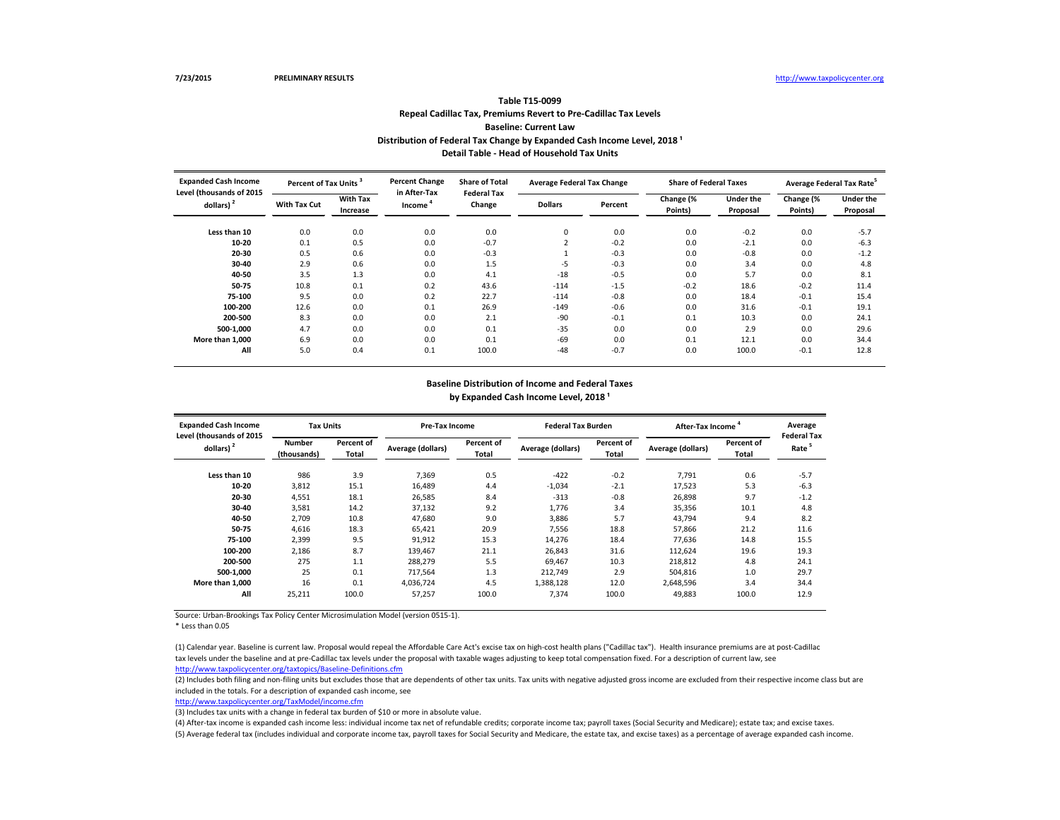(2) Includes both filing and non-filing units but excludes those that are dependents of other tax units. Tax units with negative adjusted gross income are excluded from their respective income class but are included in the totals. For a description of expanded cash income, see

Source: Urban-Brookings Tax Policy Center Microsimulation Model (version 0515-1).

#### **Baseline Distribution of Income and Federal Taxes** by Expanded Cash Income Level, 2018<sup>1</sup>

\* Less than 0.05

### **Repeal Cadillac Tax, Premiums Revert to Pre-Cadillac Tax Levels Baseline: Current Law Table T15-0099 Distribution of Federal Tax Change by Expanded Cash Income Level, 2018<sup>1</sup> Detail Table - Head of Household Tax Units**

<http://www.taxpolicycenter.org/TaxModel/income.cfm>

(3) Includes tax units with a change in federal tax burden of \$10 or more in absolute value.

| <b>Expanded Cash Income</b><br>Level (thousands of 2015 | <b>Tax Units</b>             |                     | <b>Pre-Tax Income</b>    |                            | <b>Federal Tax Burden</b> |                     | After-Tax Income  |                            | Average<br><b>Federal Tax</b> |
|---------------------------------------------------------|------------------------------|---------------------|--------------------------|----------------------------|---------------------------|---------------------|-------------------|----------------------------|-------------------------------|
| dollars) $2$                                            | <b>Number</b><br>(thousands) | Percent of<br>Total | <b>Average (dollars)</b> | Percent of<br><b>Total</b> | Average (dollars)         | Percent of<br>Total | Average (dollars) | Percent of<br><b>Total</b> | Rate <sup>5</sup>             |
| Less than 10                                            | 986                          | 3.9                 | 7,369                    | 0.5                        | $-422$                    | $-0.2$              | 7,791             | 0.6                        | $-5.7$                        |
| $10 - 20$                                               | 3,812                        | 15.1                | 16,489                   | 4.4                        | $-1,034$                  | $-2.1$              | 17,523            | 5.3                        | $-6.3$                        |
| 20-30                                                   | 4,551                        | 18.1                | 26,585                   | 8.4                        | $-313$                    | $-0.8$              | 26,898            | 9.7                        | $-1.2$                        |
| $30 - 40$                                               | 3,581                        | 14.2                | 37,132                   | 9.2                        | 1,776                     | 3.4                 | 35,356            | 10.1                       | 4.8                           |
| 40-50                                                   | 2,709                        | 10.8                | 47,680                   | 9.0                        | 3,886                     | 5.7                 | 43,794            | 9.4                        | 8.2                           |
| 50-75                                                   | 4,616                        | 18.3                | 65,421                   | 20.9                       | 7,556                     | 18.8                | 57,866            | 21.2                       | 11.6                          |
| 75-100                                                  | 2,399                        | 9.5                 | 91,912                   | 15.3                       | 14,276                    | 18.4                | 77,636            | 14.8                       | 15.5                          |
| 100-200                                                 | 2,186                        | 8.7                 | 139,467                  | 21.1                       | 26,843                    | 31.6                | 112,624           | 19.6                       | 19.3                          |
| 200-500                                                 | 275                          | 1.1                 | 288,279                  | 5.5                        | 69,467                    | 10.3                | 218,812           | 4.8                        | 24.1                          |
| 500-1,000                                               | 25                           | 0.1                 | 717,564                  | 1.3                        | 212,749                   | 2.9                 | 504,816           | 1.0                        | 29.7                          |
| More than 1,000                                         | 16                           | 0.1                 | 4,036,724                | 4.5                        | 1,388,128                 | 12.0                | 2,648,596         | 3.4                        | 34.4                          |
| All                                                     | 25,211                       | 100.0               | 57,257                   | 100.0                      | 7,374                     | 100.0               | 49,883            | 100.0                      | 12.9                          |

| <b>Expanded Cash Income</b><br>Level (thousands of 2015 | Percent of Tax Units <sup>3</sup> |                             | <b>Percent Change</b><br>in After-Tax | <b>Share of Total</b><br><b>Federal Tax</b> | <b>Average Federal Tax Change</b> |         | <b>Share of Federal Taxes</b> |                              | Average Federal Tax Rate <sup>5</sup> |                              |
|---------------------------------------------------------|-----------------------------------|-----------------------------|---------------------------------------|---------------------------------------------|-----------------------------------|---------|-------------------------------|------------------------------|---------------------------------------|------------------------------|
| dollars) $2$                                            | <b>With Tax Cut</b>               | <b>With Tax</b><br>Increase | Income <sup>4</sup>                   | Change                                      | <b>Dollars</b>                    | Percent | Change (%<br>Points)          | <b>Under the</b><br>Proposal | Change (%<br>Points)                  | <b>Under the</b><br>Proposal |
| Less than 10                                            | 0.0                               | 0.0                         | 0.0                                   | 0.0                                         | $\Omega$                          | 0.0     | 0.0                           | $-0.2$                       | 0.0                                   | $-5.7$                       |
| $10 - 20$                                               | 0.1                               | 0.5                         | 0.0                                   | $-0.7$                                      |                                   | $-0.2$  | 0.0                           | $-2.1$                       | 0.0                                   | $-6.3$                       |
| 20-30                                                   | 0.5                               | 0.6                         | 0.0                                   | $-0.3$                                      |                                   | $-0.3$  | 0.0                           | $-0.8$                       | 0.0                                   | $-1.2$                       |
| $30 - 40$                                               | 2.9                               | 0.6                         | 0.0                                   | 1.5                                         | -5                                | $-0.3$  | 0.0                           | 3.4                          | 0.0                                   | 4.8                          |
| 40-50                                                   | 3.5                               | 1.3                         | 0.0                                   | 4.1                                         | $-18$                             | $-0.5$  | 0.0                           | 5.7                          | 0.0                                   | 8.1                          |
| 50-75                                                   | 10.8                              | 0.1                         | 0.2                                   | 43.6                                        | $-114$                            | $-1.5$  | $-0.2$                        | 18.6                         | $-0.2$                                | 11.4                         |
| 75-100                                                  | 9.5                               | 0.0                         | 0.2                                   | 22.7                                        | $-114$                            | $-0.8$  | 0.0                           | 18.4                         | $-0.1$                                | 15.4                         |
| 100-200                                                 | 12.6                              | 0.0                         | 0.1                                   | 26.9                                        | $-149$                            | $-0.6$  | 0.0                           | 31.6                         | $-0.1$                                | 19.1                         |
| 200-500                                                 | 8.3                               | 0.0                         | 0.0                                   | 2.1                                         | $-90$                             | $-0.1$  | 0.1                           | 10.3                         | 0.0                                   | 24.1                         |
| 500-1,000                                               | 4.7                               | 0.0                         | 0.0                                   | 0.1                                         | $-35$                             | 0.0     | 0.0                           | 2.9                          | 0.0                                   | 29.6                         |
| More than 1,000                                         | 6.9                               | 0.0                         | 0.0                                   | 0.1                                         | $-69$                             | 0.0     | 0.1                           | 12.1                         | 0.0                                   | 34.4                         |
| All                                                     | 5.0                               | 0.4                         | 0.1                                   | 100.0                                       | -48                               | $-0.7$  | 0.0                           | 100.0                        | $-0.1$                                | 12.8                         |

<http://www.taxpolicycenter.org/taxtopics/Baseline-Definitions.cfm> (1) Calendar year. Baseline is current law. Proposal would repeal the Affordable Care Act's excise tax on high-cost health plans ("Cadillac tax"). Health insurance premiums are at post-Cadillac tax levels under the baseline and at pre-Cadillac tax levels under the proposal with taxable wages adjusting to keep total compensation fixed. For a description of current law, see

(4) After-tax income is expanded cash income less: individual income tax net of refundable credits; corporate income tax; payroll taxes (Social Security and Medicare); estate tax; and excise taxes. (5) Average federal tax (includes individual and corporate income tax, payroll taxes for Social Security and Medicare, the estate tax, and excise taxes) as a percentage of average expanded cash income.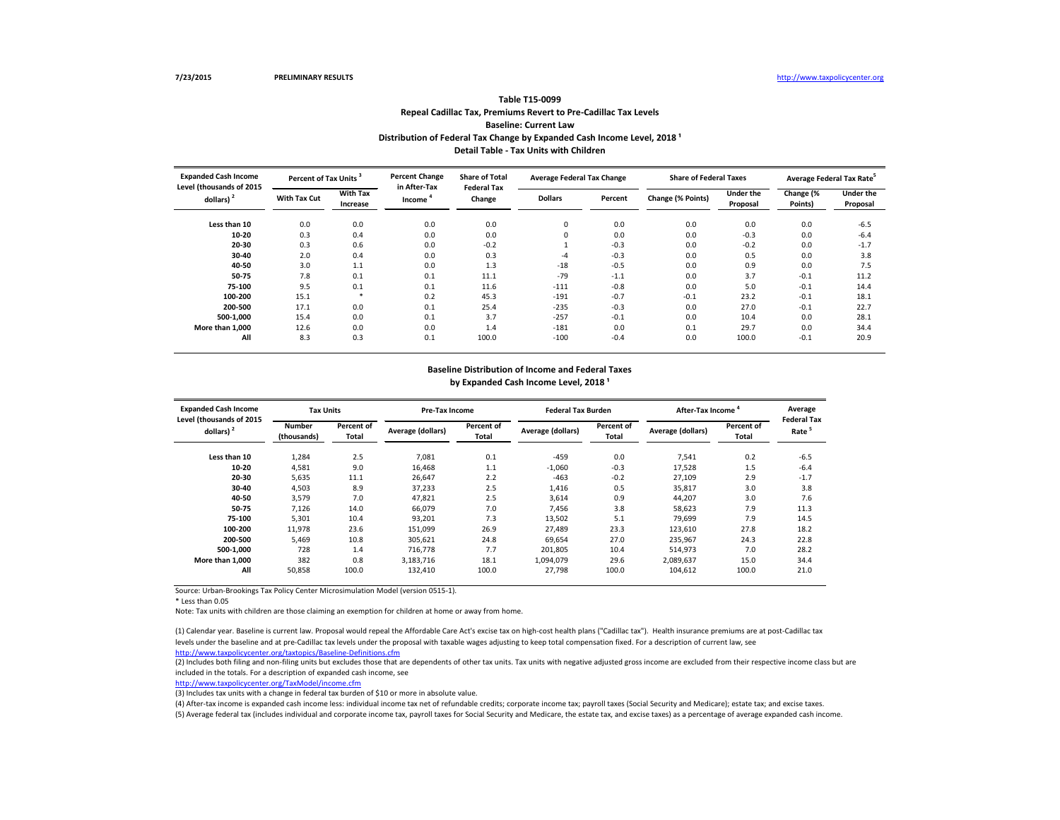## **Repeal Cadillac Tax, Premiums Revert to Pre-Cadillac Tax Levels Baseline: Current Law Table T15-0099** Distribution of Federal Tax Change by Expanded Cash Income Level, 2018<sup>1</sup>

(2) Includes both filing and non-filing units but excludes those that are dependents of other tax units. Tax units with negative adjusted gross income are excluded from their respective income class but are included in the totals. For a description of expanded cash income, see

Source: Urban-Brookings Tax Policy Center Microsimulation Model (version 0515-1).

\* Less than 0.05

Note: Tax units with children are those claiming an exemption for children at home or away from home.

<http://www.taxpolicycenter.org/TaxModel/income.cfm>

| <b>Expanded Cash Income</b><br>Level (thousands of 2015 | <b>Tax Units</b>             |                                   | <b>Pre-Tax Income</b> |                                   | <b>Federal Tax Burden</b> |                     | After-Tax Income  |                            | Average<br><b>Federal Tax</b> |
|---------------------------------------------------------|------------------------------|-----------------------------------|-----------------------|-----------------------------------|---------------------------|---------------------|-------------------|----------------------------|-------------------------------|
| dollars) $2$                                            | <b>Number</b><br>(thousands) | <b>Percent of</b><br><b>Total</b> | Average (dollars)     | <b>Percent of</b><br><b>Total</b> | Average (dollars)         | Percent of<br>Total | Average (dollars) | Percent of<br><b>Total</b> | Rate <sup>5</sup>             |
| Less than 10                                            | 1,284                        | 2.5                               | 7,081                 | 0.1                               | $-459$                    | 0.0                 | 7,541             | 0.2                        | $-6.5$                        |
| 10-20                                                   | 4,581                        | 9.0                               | 16,468                | 1.1                               | $-1,060$                  | $-0.3$              | 17,528            | 1.5                        | $-6.4$                        |
| $20 - 30$                                               | 5,635                        | 11.1                              | 26,647                | 2.2                               | $-463$                    | $-0.2$              | 27,109            | 2.9                        | $-1.7$                        |
| $30 - 40$                                               | 4,503                        | 8.9                               | 37,233                | 2.5                               | 1,416                     | 0.5                 | 35,817            | 3.0                        | 3.8                           |
| 40-50                                                   | 3,579                        | 7.0                               | 47,821                | 2.5                               | 3,614                     | 0.9                 | 44,207            | 3.0                        | 7.6                           |
| 50-75                                                   | 7,126                        | 14.0                              | 66,079                | 7.0                               | 7,456                     | 3.8                 | 58,623            | 7.9                        | 11.3                          |
| 75-100                                                  | 5,301                        | 10.4                              | 93,201                | 7.3                               | 13,502                    | 5.1                 | 79,699            | 7.9                        | 14.5                          |
| 100-200                                                 | 11,978                       | 23.6                              | 151,099               | 26.9                              | 27,489                    | 23.3                | 123,610           | 27.8                       | 18.2                          |
| 200-500                                                 | 5,469                        | 10.8                              | 305,621               | 24.8                              | 69,654                    | 27.0                | 235,967           | 24.3                       | 22.8                          |
| 500-1,000                                               | 728                          | 1.4                               | 716,778               | 7.7                               | 201,805                   | 10.4                | 514,973           | 7.0                        | 28.2                          |
| More than 1,000                                         | 382                          | 0.8                               | 3,183,716             | 18.1                              | 1,094,079                 | 29.6                | 2,089,637         | 15.0                       | 34.4                          |
| All                                                     | 50,858                       | 100.0                             | 132,410               | 100.0                             | 27,798                    | 100.0               | 104,612           | 100.0                      | 21.0                          |

(3) Includes tax units with a change in federal tax burden of \$10 or more in absolute value.

| <b>Expanded Cash Income</b><br>Level (thousands of 2015 | Percent of Tax Units <sup>3</sup>                  |        | <b>Percent Change</b><br>in After-Tax | <b>Share of Total</b><br><b>Federal Tax</b> | <b>Average Federal Tax Change</b> |         | <b>Share of Federal Taxes</b> |                              | Average Federal Tax Rate <sup>5</sup> |                              |
|---------------------------------------------------------|----------------------------------------------------|--------|---------------------------------------|---------------------------------------------|-----------------------------------|---------|-------------------------------|------------------------------|---------------------------------------|------------------------------|
| dollars) <sup>2</sup>                                   | <b>With Tax</b><br><b>With Tax Cut</b><br>Increase |        | Change<br>Income                      |                                             | <b>Dollars</b>                    | Percent | Change (% Points)             | <b>Under the</b><br>Proposal | Change (%<br>Points)                  | <b>Under the</b><br>Proposal |
| Less than 10                                            | 0.0                                                | 0.0    | 0.0                                   | 0.0                                         | $\mathbf 0$                       | 0.0     | 0.0                           | 0.0                          | 0.0                                   | $-6.5$                       |
| 10-20                                                   | 0.3                                                | 0.4    | 0.0                                   | 0.0                                         | 0                                 | 0.0     | 0.0                           | $-0.3$                       | 0.0                                   | $-6.4$                       |
| $20 - 30$                                               | 0.3                                                | 0.6    | 0.0                                   | $-0.2$                                      |                                   | $-0.3$  | 0.0                           | $-0.2$                       | 0.0                                   | $-1.7$                       |
| $30 - 40$                                               | 2.0                                                | 0.4    | 0.0                                   | 0.3                                         | $-4$                              | $-0.3$  | 0.0                           | 0.5                          | 0.0                                   | 3.8                          |
| 40-50                                                   | 3.0                                                | 1.1    | 0.0                                   | 1.3                                         | $-18$                             | $-0.5$  | 0.0                           | 0.9                          | 0.0                                   | 7.5                          |
| 50-75                                                   | 7.8                                                | 0.1    | 0.1                                   | 11.1                                        | $-79$                             | $-1.1$  | 0.0                           | 3.7                          | $-0.1$                                | 11.2                         |
| 75-100                                                  | 9.5                                                | 0.1    | 0.1                                   | 11.6                                        | $-111$                            | $-0.8$  | 0.0                           | 5.0                          | $-0.1$                                | 14.4                         |
| 100-200                                                 | 15.1                                               | $\ast$ | 0.2                                   | 45.3                                        | $-191$                            | $-0.7$  | $-0.1$                        | 23.2                         | $-0.1$                                | 18.1                         |
| 200-500                                                 | 17.1                                               | 0.0    | 0.1                                   | 25.4                                        | $-235$                            | $-0.3$  | 0.0                           | 27.0                         | $-0.1$                                | 22.7                         |
| 500-1,000                                               | 15.4                                               | 0.0    | 0.1                                   | 3.7                                         | $-257$                            | $-0.1$  | 0.0                           | 10.4                         | 0.0                                   | 28.1                         |
| More than 1.000                                         | 12.6                                               | 0.0    | 0.0                                   | 1.4                                         | $-181$                            | 0.0     | 0.1                           | 29.7                         | 0.0                                   | 34.4                         |
| All                                                     | 8.3                                                | 0.3    | 0.1                                   | 100.0                                       | $-100$                            | $-0.4$  | 0.0                           | 100.0                        | $-0.1$                                | 20.9                         |

<http://www.taxpolicycenter.org/taxtopics/Baseline-Definitions.cfm> (1) Calendar year. Baseline is current law. Proposal would repeal the Affordable Care Act's excise tax on high-cost health plans ("Cadillac tax"). Health insurance premiums are at post-Cadillac tax levels under the baseline and at pre-Cadillac tax levels under the proposal with taxable wages adjusting to keep total compensation fixed. For a description of current law, see

(4) After-tax income is expanded cash income less: individual income tax net of refundable credits; corporate income tax; payroll taxes (Social Security and Medicare); estate tax; and excise taxes. (5) Average federal tax (includes individual and corporate income tax, payroll taxes for Social Security and Medicare, the estate tax, and excise taxes) as a percentage of average expanded cash income.

# **Baseline Distribution of Income and Federal Taxes**

by Expanded Cash Income Level, 2018<sup>1</sup>

**Detail Table - Tax Units with Children**